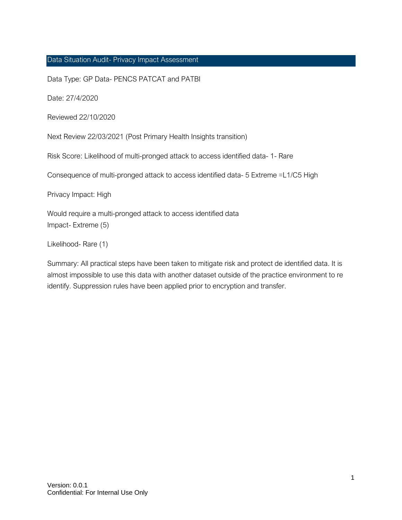#### <span id="page-0-0"></span>Data Situation Audit- Privacy Impact Assessment

Data Type: GP Data- PENCS PATCAT and PATBI

Date: 27/4/2020

Reviewed 22/10/2020

Next Review 22/03/2021 (Post Primary Health Insights transition)

Risk Score: Likelihood of multi-pronged attack to access identified data- 1- Rare

Consequence of multi-pronged attack to access identified data- 5 Extreme =L1/C5 High

Privacy Impact: High

Would require a multi-pronged attack to access identified data Impact- Extreme (5)

Likelihood- Rare (1)

Summary: All practical steps have been taken to mitigate risk and protect de identified data. It is almost impossible to use this data with another dataset outside of the practice environment to re identify. Suppression rules have been applied prior to encryption and transfer.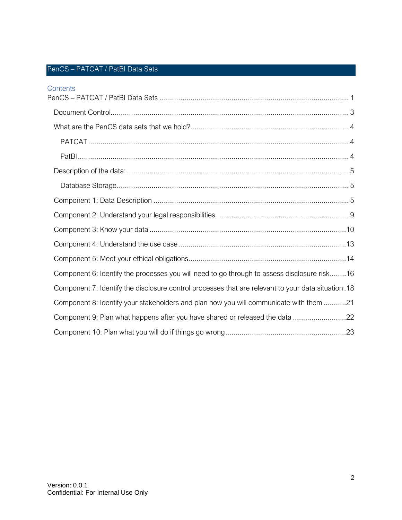## PenCS – PATCAT / PatBI Data Sets

| Contents                                                                                            |
|-----------------------------------------------------------------------------------------------------|
|                                                                                                     |
|                                                                                                     |
|                                                                                                     |
|                                                                                                     |
|                                                                                                     |
|                                                                                                     |
|                                                                                                     |
|                                                                                                     |
|                                                                                                     |
|                                                                                                     |
|                                                                                                     |
|                                                                                                     |
| Component 6: Identify the processes you will need to go through to assess disclosure risk16         |
| Component 7: Identify the disclosure control processes that are relevant to your data situation. 18 |
| Component 8: Identify your stakeholders and plan how you will communicate with them 21              |
|                                                                                                     |
|                                                                                                     |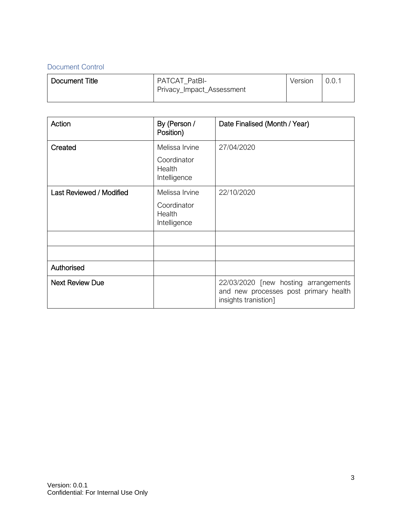## <span id="page-2-0"></span>Document Control

| Document Title | PATCAT PatBI-<br>Privacy_Impact_Assessment | Version | 0.0.7 |
|----------------|--------------------------------------------|---------|-------|
|                |                                            |         |       |

| Action                   | By (Person /<br>Position)             | Date Finalised (Month / Year)                                                                         |
|--------------------------|---------------------------------------|-------------------------------------------------------------------------------------------------------|
| Created                  | Melissa Irvine                        | 27/04/2020                                                                                            |
|                          | Coordinator<br>Health<br>Intelligence |                                                                                                       |
| Last Reviewed / Modified | Melissa Irvine                        | 22/10/2020                                                                                            |
|                          | Coordinator<br>Health<br>Intelligence |                                                                                                       |
|                          |                                       |                                                                                                       |
|                          |                                       |                                                                                                       |
| Authorised               |                                       |                                                                                                       |
| <b>Next Review Due</b>   |                                       | 22/03/2020 [new hosting arrangements<br>and new processes post primary health<br>insights tranistion] |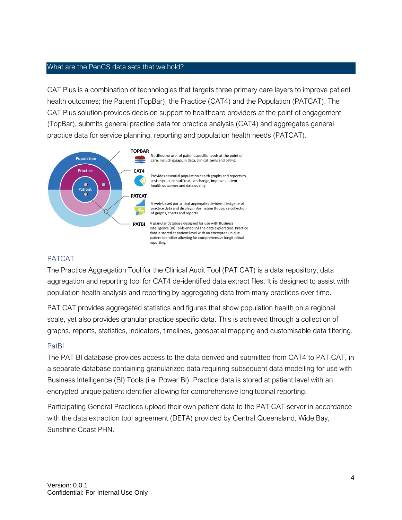#### <span id="page-3-0"></span>What are the PenCS data sets that we hold?

CAT Plus is a combination of technologies that targets three primary care layers to improve patient health outcomes; the Patient (TopBar), the Practice (CAT4) and the Population (PATCAT). The CAT Plus solution provides decision support to healthcare providers at the point of engagement (TopBar), submits general practice data for practice analysis (CAT4) and aggregates general practice data for service planning, reporting and population health needs (PATCAT).



#### <span id="page-3-1"></span>PATCAT

The Practice Aggregation Tool for the Clinical Audit Tool (PAT CAT) is a data repository, data aggregation and reporting tool for CAT4 de-identified data extract files. It is designed to assist with population health analysis and reporting by aggregating data from many practices over time.

PAT CAT provides aggregated statistics and figures that show population health on a regional scale, yet also provides granular practice specific data. This is achieved through a collection of graphs, reports, statistics, indicators, timelines, geospatial mapping and customisable data filtering.

### <span id="page-3-2"></span>PatBI

The PAT BI database provides access to the data derived and submitted from CAT4 to PAT CAT, in a separate database containing granularized data requiring subsequent data modelling for use with Business Intelligence (BI) Tools (i.e. Power BI). Practice data is stored at patient level with an encrypted unique patient identifier allowing for comprehensive longitudinal reporting.

Participating General Practices upload their own patient data to the PAT CAT server in accordance with the data extraction tool agreement (DETA) provided by Central Queensland, Wide Bay, Sunshine Coast PHN.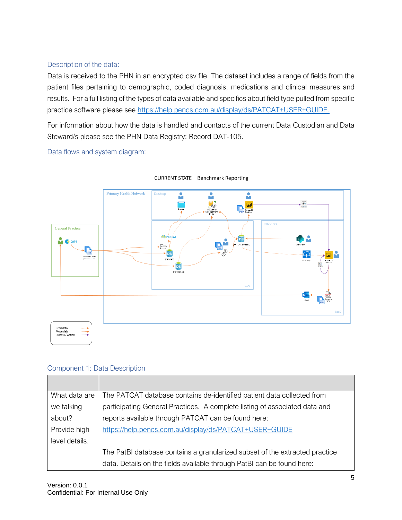## <span id="page-4-0"></span>Description of the data:

Data is received to the PHN in an encrypted csv file. The dataset includes a range of fields from the patient files pertaining to demographic, coded diagnosis, medications and clinical measures and results. For a full listing of the types of data available and specifics about field type pulled from specific practice software please see [https://help.pencs.com.au/display/ds/PATCAT+USER+GUIDE.](https://help.pencs.com.au/display/ds/PATCAT+USER+GUIDE)

For information about how the data is handled and contacts of the current Data Custodian and Data Steward/s please see the PHN Data Registry: Record DAT-105.

Data flows and system diagram:

<span id="page-4-1"></span>

**CURRENT STATE - Benchmark Reporting** 

### <span id="page-4-2"></span>Component 1: Data Description

| What data are  | The PATCAT database contains de-identified patient data collected from      |  |  |
|----------------|-----------------------------------------------------------------------------|--|--|
| we talking     | participating General Practices. A complete listing of associated data and  |  |  |
| about?         | reports available through PATCAT can be found here:                         |  |  |
| Provide high   | https://help.pencs.com.au/display/ds/PATCAT+USER+GUIDE                      |  |  |
| level details. |                                                                             |  |  |
|                | The PatBI database contains a granularized subset of the extracted practice |  |  |
|                | data. Details on the fields available through PatBI can be found here:      |  |  |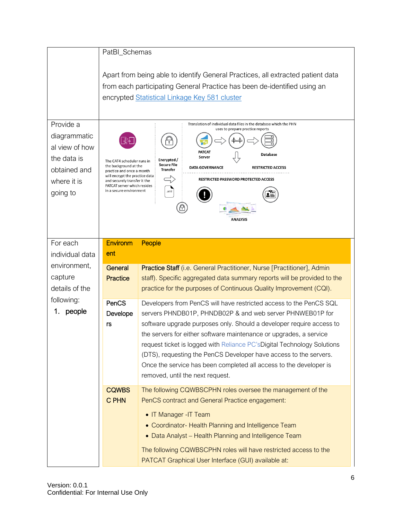|                                                                                                       | PatBI_Schemas                                                                                                                                                                                                |                                                                                                                                                                                                                                                                                                                                                                  |  |
|-------------------------------------------------------------------------------------------------------|--------------------------------------------------------------------------------------------------------------------------------------------------------------------------------------------------------------|------------------------------------------------------------------------------------------------------------------------------------------------------------------------------------------------------------------------------------------------------------------------------------------------------------------------------------------------------------------|--|
|                                                                                                       | Apart from being able to identify General Practices, all extracted patient data<br>from each participating General Practice has been de-identified using an<br>encrypted Statistical Linkage Key 581 cluster |                                                                                                                                                                                                                                                                                                                                                                  |  |
| Provide a<br>diagrammatic<br>al view of how<br>the data is<br>obtained and<br>where it is<br>going to | The CAT4 scheduler runs in<br>the background at the<br>practice and once a month<br>will encrypt the practice data<br>and securely transfer it the<br>PATCAT server which resides<br>in a secure environment | Translation of individual data files in the database which the PHN<br>uses to prepare practice reports<br>PATCAT<br><b>Database</b><br>Server<br>Encrypted /<br><b>Secure File</b><br><b>DATA GOVERNANCE</b><br><b>RESTRICTED ACCESS</b><br><b>Transfer</b><br>RESTRICTED PASSWORD PROTECTED ACCESS<br>.xml<br><b>ANALYSIS</b>                                   |  |
| For each<br>individual data                                                                           | Environm<br>ent                                                                                                                                                                                              | People                                                                                                                                                                                                                                                                                                                                                           |  |
| environment,                                                                                          |                                                                                                                                                                                                              |                                                                                                                                                                                                                                                                                                                                                                  |  |
| capture                                                                                               | <b>General</b><br><b>Practice</b>                                                                                                                                                                            | <b>Practice Staff</b> (i.e. General Practitioner, Nurse [Practitioner], Admin                                                                                                                                                                                                                                                                                    |  |
| details of the                                                                                        |                                                                                                                                                                                                              | staff). Specific aggregated data summary reports will be provided to the<br>practice for the purposes of Continuous Quality Improvement (CQI).                                                                                                                                                                                                                   |  |
| following:                                                                                            |                                                                                                                                                                                                              |                                                                                                                                                                                                                                                                                                                                                                  |  |
| people<br>1.                                                                                          | PenCS<br>Develope                                                                                                                                                                                            | Developers from PenCS will have restricted access to the PenCS SQL<br>servers PHNDB01P, PHNDB02P & and web server PHNWEB01P for                                                                                                                                                                                                                                  |  |
|                                                                                                       | rs                                                                                                                                                                                                           | software upgrade purposes only. Should a developer require access to                                                                                                                                                                                                                                                                                             |  |
|                                                                                                       |                                                                                                                                                                                                              | the servers for either software maintenance or upgrades, a service                                                                                                                                                                                                                                                                                               |  |
|                                                                                                       |                                                                                                                                                                                                              | request ticket is logged with Reliance PC's Digital Technology Solutions                                                                                                                                                                                                                                                                                         |  |
|                                                                                                       |                                                                                                                                                                                                              | (DTS), requesting the PenCS Developer have access to the servers.                                                                                                                                                                                                                                                                                                |  |
|                                                                                                       |                                                                                                                                                                                                              | Once the service has been completed all access to the developer is                                                                                                                                                                                                                                                                                               |  |
|                                                                                                       |                                                                                                                                                                                                              |                                                                                                                                                                                                                                                                                                                                                                  |  |
|                                                                                                       |                                                                                                                                                                                                              |                                                                                                                                                                                                                                                                                                                                                                  |  |
|                                                                                                       |                                                                                                                                                                                                              |                                                                                                                                                                                                                                                                                                                                                                  |  |
|                                                                                                       |                                                                                                                                                                                                              | • Coordinator- Health Planning and Intelligence Team                                                                                                                                                                                                                                                                                                             |  |
|                                                                                                       |                                                                                                                                                                                                              |                                                                                                                                                                                                                                                                                                                                                                  |  |
|                                                                                                       |                                                                                                                                                                                                              |                                                                                                                                                                                                                                                                                                                                                                  |  |
|                                                                                                       |                                                                                                                                                                                                              |                                                                                                                                                                                                                                                                                                                                                                  |  |
|                                                                                                       | <b>CQWBS</b><br><b>C PHN</b>                                                                                                                                                                                 | removed, until the next request.<br>The following CQWBSCPHN roles oversee the management of the<br>PenCS contract and General Practice engagement:<br>• IT Manager -IT Team<br>• Data Analyst - Health Planning and Intelligence Team<br>The following CQWBSCPHN roles will have restricted access to the<br>PATCAT Graphical User Interface (GUI) available at: |  |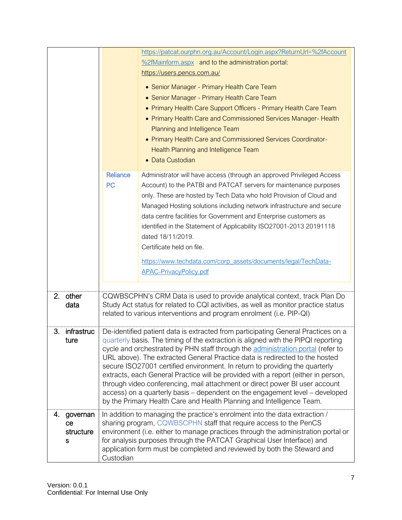|    |                                  |                                                                                                                                                                                                                                                                                                                                                                                                                                                                                                                                                                                                                                                                                                                                                      | https://patcat.ourphn.org.au/Account/Login.aspx?ReturnUrl=%2fAccount                                                                                                                                                                                                                                                                                                                       |
|----|----------------------------------|------------------------------------------------------------------------------------------------------------------------------------------------------------------------------------------------------------------------------------------------------------------------------------------------------------------------------------------------------------------------------------------------------------------------------------------------------------------------------------------------------------------------------------------------------------------------------------------------------------------------------------------------------------------------------------------------------------------------------------------------------|--------------------------------------------------------------------------------------------------------------------------------------------------------------------------------------------------------------------------------------------------------------------------------------------------------------------------------------------------------------------------------------------|
|    |                                  |                                                                                                                                                                                                                                                                                                                                                                                                                                                                                                                                                                                                                                                                                                                                                      | %2fMainform.aspx and to the administration portal:                                                                                                                                                                                                                                                                                                                                         |
|    |                                  |                                                                                                                                                                                                                                                                                                                                                                                                                                                                                                                                                                                                                                                                                                                                                      | https://users.pencs.com.au/                                                                                                                                                                                                                                                                                                                                                                |
|    |                                  |                                                                                                                                                                                                                                                                                                                                                                                                                                                                                                                                                                                                                                                                                                                                                      |                                                                                                                                                                                                                                                                                                                                                                                            |
|    |                                  |                                                                                                                                                                                                                                                                                                                                                                                                                                                                                                                                                                                                                                                                                                                                                      | • Senior Manager - Primary Health Care Team                                                                                                                                                                                                                                                                                                                                                |
|    |                                  |                                                                                                                                                                                                                                                                                                                                                                                                                                                                                                                                                                                                                                                                                                                                                      | • Senior Manager - Primary Health Care Team                                                                                                                                                                                                                                                                                                                                                |
|    |                                  |                                                                                                                                                                                                                                                                                                                                                                                                                                                                                                                                                                                                                                                                                                                                                      | • Primary Health Care Support Officers - Primary Health Care Team                                                                                                                                                                                                                                                                                                                          |
|    |                                  |                                                                                                                                                                                                                                                                                                                                                                                                                                                                                                                                                                                                                                                                                                                                                      | • Primary Health Care and Commissioned Services Manager- Health                                                                                                                                                                                                                                                                                                                            |
|    |                                  |                                                                                                                                                                                                                                                                                                                                                                                                                                                                                                                                                                                                                                                                                                                                                      | Planning and Intelligence Team                                                                                                                                                                                                                                                                                                                                                             |
|    |                                  |                                                                                                                                                                                                                                                                                                                                                                                                                                                                                                                                                                                                                                                                                                                                                      | • Primary Health Care and Commissioned Services Coordinator-                                                                                                                                                                                                                                                                                                                               |
|    |                                  |                                                                                                                                                                                                                                                                                                                                                                                                                                                                                                                                                                                                                                                                                                                                                      | Health Planning and Intelligence Team                                                                                                                                                                                                                                                                                                                                                      |
|    |                                  |                                                                                                                                                                                                                                                                                                                                                                                                                                                                                                                                                                                                                                                                                                                                                      | • Data Custodian                                                                                                                                                                                                                                                                                                                                                                           |
|    |                                  | <b>Reliance</b>                                                                                                                                                                                                                                                                                                                                                                                                                                                                                                                                                                                                                                                                                                                                      | Administrator will have access (through an approved Privileged Access                                                                                                                                                                                                                                                                                                                      |
|    |                                  | <b>PC</b>                                                                                                                                                                                                                                                                                                                                                                                                                                                                                                                                                                                                                                                                                                                                            | Account) to the PATBI and PATCAT servers for maintenance purposes                                                                                                                                                                                                                                                                                                                          |
|    |                                  |                                                                                                                                                                                                                                                                                                                                                                                                                                                                                                                                                                                                                                                                                                                                                      | only. These are hosted by Tech Data who hold Provision of Cloud and                                                                                                                                                                                                                                                                                                                        |
|    |                                  |                                                                                                                                                                                                                                                                                                                                                                                                                                                                                                                                                                                                                                                                                                                                                      | Managed Hosting solutions including network infrastructure and secure                                                                                                                                                                                                                                                                                                                      |
|    |                                  |                                                                                                                                                                                                                                                                                                                                                                                                                                                                                                                                                                                                                                                                                                                                                      | data centre facilities for Government and Enterprise customers as                                                                                                                                                                                                                                                                                                                          |
|    |                                  |                                                                                                                                                                                                                                                                                                                                                                                                                                                                                                                                                                                                                                                                                                                                                      | identified in the Statement of Applicability ISO27001-2013 20191118                                                                                                                                                                                                                                                                                                                        |
|    |                                  |                                                                                                                                                                                                                                                                                                                                                                                                                                                                                                                                                                                                                                                                                                                                                      | dated 18/11/2019.                                                                                                                                                                                                                                                                                                                                                                          |
|    |                                  |                                                                                                                                                                                                                                                                                                                                                                                                                                                                                                                                                                                                                                                                                                                                                      | Certificate held on file.                                                                                                                                                                                                                                                                                                                                                                  |
|    |                                  |                                                                                                                                                                                                                                                                                                                                                                                                                                                                                                                                                                                                                                                                                                                                                      | https://www.techdata.com/corp_assets/documents/legal/TechData-                                                                                                                                                                                                                                                                                                                             |
|    |                                  |                                                                                                                                                                                                                                                                                                                                                                                                                                                                                                                                                                                                                                                                                                                                                      | <b>APAC-PrivacyPolicy.pdf</b>                                                                                                                                                                                                                                                                                                                                                              |
|    |                                  |                                                                                                                                                                                                                                                                                                                                                                                                                                                                                                                                                                                                                                                                                                                                                      |                                                                                                                                                                                                                                                                                                                                                                                            |
| 2. | other<br>data                    |                                                                                                                                                                                                                                                                                                                                                                                                                                                                                                                                                                                                                                                                                                                                                      | CQWBSCPHN's CRM Data is used to provide analytical context, track Plan Do<br>Study Act status for related to CQI activities, as well as monitor practice status<br>related to various interventions and program enrolment (i.e. PIP-QI)                                                                                                                                                    |
| 3. | infrastruc<br>ture               | De-identified patient data is extracted from participating General Practices on a<br>quarterly basis. The timing of the extraction is aligned with the PIPQI reporting<br>cycle and orchestrated by PHN staff through the administration portal (refer to<br>URL above). The extracted General Practice data is redirected to the hosted<br>secure ISO27001 certified environment. In return to providing the quarterly<br>extracts, each General Practice will be provided with a report (either in person,<br>through video conferencing, mail attachment or direct power BI user account<br>access) on a quarterly basis – dependent on the engagement level – developed<br>by the Primary Health Care and Health Planning and Intelligence Team. |                                                                                                                                                                                                                                                                                                                                                                                            |
| 4. | governan<br>ce<br>structure<br>s | Custodian                                                                                                                                                                                                                                                                                                                                                                                                                                                                                                                                                                                                                                                                                                                                            | In addition to managing the practice's enrolment into the data extraction /<br>sharing program, CQWBSCPHN staff that require access to the PenCS<br>environment (i.e. either to manage practices through the administration portal or<br>for analysis purposes through the PATCAT Graphical User Interface) and<br>application form must be completed and reviewed by both the Steward and |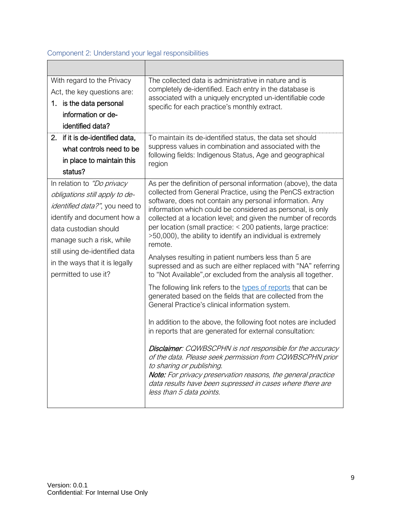# <span id="page-8-0"></span>Component 2: Understand your legal responsibilities

| With regard to the Privacy<br>Act, the key questions are:<br>1. is the data personal<br>information or de-<br>identified data?                                                                                                                                                  | The collected data is administrative in nature and is<br>completely de-identified. Each entry in the database is<br>associated with a uniquely encrypted un-identifiable code<br>specific for each practice's monthly extract.                                                                                                                                                                                                                                                                                                                                                                                                                                                                                                                                                                                                                                                                                                                                                                                                                                                                                                                                                                                                                                                                     |
|---------------------------------------------------------------------------------------------------------------------------------------------------------------------------------------------------------------------------------------------------------------------------------|----------------------------------------------------------------------------------------------------------------------------------------------------------------------------------------------------------------------------------------------------------------------------------------------------------------------------------------------------------------------------------------------------------------------------------------------------------------------------------------------------------------------------------------------------------------------------------------------------------------------------------------------------------------------------------------------------------------------------------------------------------------------------------------------------------------------------------------------------------------------------------------------------------------------------------------------------------------------------------------------------------------------------------------------------------------------------------------------------------------------------------------------------------------------------------------------------------------------------------------------------------------------------------------------------|
| if it is de-identified data,<br>2.<br>what controls need to be<br>in place to maintain this<br>status?                                                                                                                                                                          | To maintain its de-identified status, the data set should<br>suppress values in combination and associated with the<br>following fields: Indigenous Status, Age and geographical<br>region                                                                                                                                                                                                                                                                                                                                                                                                                                                                                                                                                                                                                                                                                                                                                                                                                                                                                                                                                                                                                                                                                                         |
| In relation to "Do privacy<br>obligations still apply to de-<br>identified data?", you need to<br>identify and document how a<br>data custodian should<br>manage such a risk, while<br>still using de-identified data<br>in the ways that it is legally<br>permitted to use it? | As per the definition of personal information (above), the data<br>collected from General Practice, using the PenCS extraction<br>software, does not contain any personal information. Any<br>information which could be considered as personal, is only<br>collected at a location level; and given the number of records<br>per location (small practice: < 200 patients, large practice:<br>>50,000), the ability to identify an individual is extremely<br>remote.<br>Analyses resulting in patient numbers less than 5 are<br>supressed and as such are either replaced with "NA" referring<br>to "Not Available", or excluded from the analysis all together.<br>The following link refers to the types of reports that can be<br>generated based on the fields that are collected from the<br>General Practice's clinical information system.<br>In addition to the above, the following foot notes are included<br>in reports that are generated for external consultation:<br>Disclaimer: CQWBSCPHN is not responsible for the accuracy<br>of the data. Please seek permission from CQWBSCPHN prior<br>to sharing or publishing.<br>Note: For privacy preservation reasons, the general practice<br>data results have been supressed in cases where there are<br>less than 5 data points. |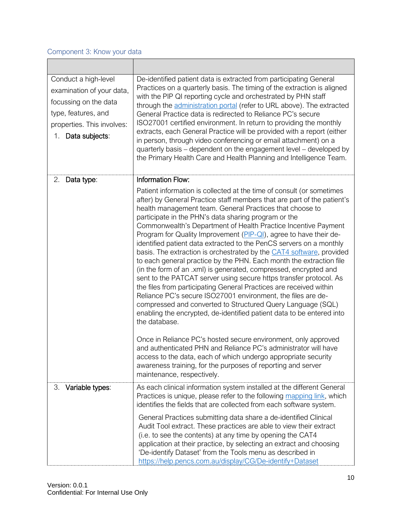## <span id="page-9-0"></span>Component 3: Know your data

 $\blacksquare$ 

| Conduct a high-level<br>examination of your data,<br>focussing on the data<br>type, features, and<br>properties. This involves:<br>Data subjects:<br>1. | De-identified patient data is extracted from participating General<br>Practices on a quarterly basis. The timing of the extraction is aligned<br>with the PIP QI reporting cycle and orchestrated by PHN staff<br>through the administration portal (refer to URL above). The extracted<br>General Practice data is redirected to Reliance PC's secure<br>ISO27001 certified environment. In return to providing the monthly<br>extracts, each General Practice will be provided with a report (either<br>in person, through video conferencing or email attachment) on a<br>quarterly basis – dependent on the engagement level – developed by<br>the Primary Health Care and Health Planning and Intelligence Team.                                                                                                                                                                                                                                                                                                                                                      |
|---------------------------------------------------------------------------------------------------------------------------------------------------------|----------------------------------------------------------------------------------------------------------------------------------------------------------------------------------------------------------------------------------------------------------------------------------------------------------------------------------------------------------------------------------------------------------------------------------------------------------------------------------------------------------------------------------------------------------------------------------------------------------------------------------------------------------------------------------------------------------------------------------------------------------------------------------------------------------------------------------------------------------------------------------------------------------------------------------------------------------------------------------------------------------------------------------------------------------------------------|
| 2.<br>Data type:                                                                                                                                        | Information Flow:                                                                                                                                                                                                                                                                                                                                                                                                                                                                                                                                                                                                                                                                                                                                                                                                                                                                                                                                                                                                                                                          |
|                                                                                                                                                         | Patient information is collected at the time of consult (or sometimes<br>after) by General Practice staff members that are part of the patient's<br>health management team. General Practices that choose to<br>participate in the PHN's data sharing program or the<br>Commonwealth's Department of Health Practice Incentive Payment<br>Program for Quality Improvement (PIP-QI), agree to have their de-<br>identified patient data extracted to the PenCS servers on a monthly<br>basis. The extraction is orchestrated by the CAT4 software, provided<br>to each general practice by the PHN. Each month the extraction file<br>(in the form of an .xml) is generated, compressed, encrypted and<br>sent to the PATCAT server using secure https transfer protocol. As<br>the files from participating General Practices are received within<br>Reliance PC's secure ISO27001 environment, the files are de-<br>compressed and converted to Structured Query Language (SQL)<br>enabling the encrypted, de-identified patient data to be entered into<br>the database. |
|                                                                                                                                                         | Once in Reliance PC's hosted secure environment, only approved<br>and authenticated PHN and Reliance PC's administrator will have<br>access to the data, each of which undergo appropriate security<br>awareness training, for the purposes of reporting and server<br>maintenance, respectively.                                                                                                                                                                                                                                                                                                                                                                                                                                                                                                                                                                                                                                                                                                                                                                          |
| Variable types:<br>3.                                                                                                                                   | As each clinical information system installed at the different General<br>Practices is unique, please refer to the following mapping link, which<br>identifies the fields that are collected from each software system.                                                                                                                                                                                                                                                                                                                                                                                                                                                                                                                                                                                                                                                                                                                                                                                                                                                    |
|                                                                                                                                                         | General Practices submitting data share a de-identified Clinical<br>Audit Tool extract. These practices are able to view their extract<br>(i.e. to see the contents) at any time by opening the CAT4<br>application at their practice, by selecting an extract and choosing<br>'De-identify Dataset' from the Tools menu as described in<br>https://help.pencs.com.au/display/CG/De-identify+Dataset                                                                                                                                                                                                                                                                                                                                                                                                                                                                                                                                                                                                                                                                       |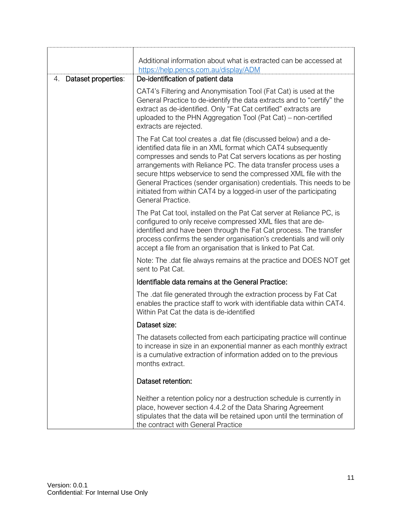|                           | Additional information about what is extracted can be accessed at                                                                                                                                                                                                                                                                                                                                                                                                                                                 |
|---------------------------|-------------------------------------------------------------------------------------------------------------------------------------------------------------------------------------------------------------------------------------------------------------------------------------------------------------------------------------------------------------------------------------------------------------------------------------------------------------------------------------------------------------------|
|                           | https://help.pencs.com.au/display/ADM                                                                                                                                                                                                                                                                                                                                                                                                                                                                             |
| Dataset properties:<br>4. | De-identification of patient data                                                                                                                                                                                                                                                                                                                                                                                                                                                                                 |
|                           | CAT4's Filtering and Anonymisation Tool (Fat Cat) is used at the<br>General Practice to de-identify the data extracts and to "certify" the<br>extract as de-identified. Only "Fat Cat certified" extracts are<br>uploaded to the PHN Aggregation Tool (Pat Cat) – non-certified<br>extracts are rejected.                                                                                                                                                                                                         |
|                           | The Fat Cat tool creates a .dat file (discussed below) and a de-<br>identified data file in an XML format which CAT4 subsequently<br>compresses and sends to Pat Cat servers locations as per hosting<br>arrangements with Reliance PC. The data transfer process uses a<br>secure https webservice to send the compressed XML file with the<br>General Practices (sender organisation) credentials. This needs to be<br>initiated from within CAT4 by a logged-in user of the participating<br>General Practice. |
|                           | The Pat Cat tool, installed on the Pat Cat server at Reliance PC, is<br>configured to only receive compressed XML files that are de-<br>identified and have been through the Fat Cat process. The transfer<br>process confirms the sender organisation's credentials and will only<br>accept a file from an organisation that is linked to Pat Cat.                                                                                                                                                               |
|                           | Note: The .dat file always remains at the practice and DOES NOT get<br>sent to Pat Cat.                                                                                                                                                                                                                                                                                                                                                                                                                           |
|                           | Identifiable data remains at the General Practice:                                                                                                                                                                                                                                                                                                                                                                                                                                                                |
|                           | The .dat file generated through the extraction process by Fat Cat<br>enables the practice staff to work with identifiable data within CAT4.<br>Within Pat Cat the data is de-identified                                                                                                                                                                                                                                                                                                                           |
|                           | Dataset size:                                                                                                                                                                                                                                                                                                                                                                                                                                                                                                     |
|                           | The datasets collected from each participating practice will continue<br>to increase in size in an exponential manner as each monthly extract<br>is a cumulative extraction of information added on to the previous<br>months extract.                                                                                                                                                                                                                                                                            |
|                           | Dataset retention:                                                                                                                                                                                                                                                                                                                                                                                                                                                                                                |
|                           | Neither a retention policy nor a destruction schedule is currently in<br>place, however section 4.4.2 of the Data Sharing Agreement<br>stipulates that the data will be retained upon until the termination of<br>the contract with General Practice                                                                                                                                                                                                                                                              |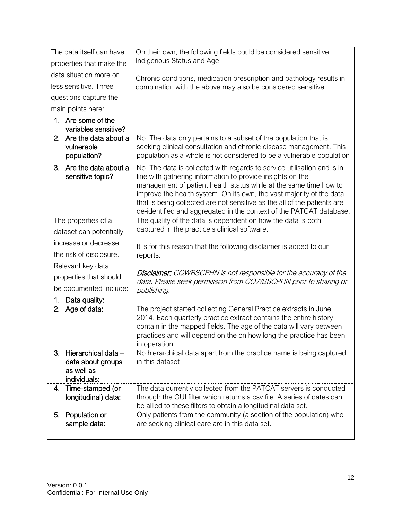| The data itself can have                                                     | On their own, the following fields could be considered sensitive:                                                                                                                                                                                                                                                                                                                                                                     |
|------------------------------------------------------------------------------|---------------------------------------------------------------------------------------------------------------------------------------------------------------------------------------------------------------------------------------------------------------------------------------------------------------------------------------------------------------------------------------------------------------------------------------|
| properties that make the                                                     | Indigenous Status and Age                                                                                                                                                                                                                                                                                                                                                                                                             |
| data situation more or                                                       | Chronic conditions, medication prescription and pathology results in                                                                                                                                                                                                                                                                                                                                                                  |
| less sensitive. Three                                                        | combination with the above may also be considered sensitive.                                                                                                                                                                                                                                                                                                                                                                          |
| questions capture the                                                        |                                                                                                                                                                                                                                                                                                                                                                                                                                       |
| main points here:                                                            |                                                                                                                                                                                                                                                                                                                                                                                                                                       |
| 1. Are some of the<br>variables sensitive?                                   |                                                                                                                                                                                                                                                                                                                                                                                                                                       |
| Are the data about a<br>2.<br>vulnerable<br>population?                      | No. The data only pertains to a subset of the population that is<br>seeking clinical consultation and chronic disease management. This<br>population as a whole is not considered to be a vulnerable population                                                                                                                                                                                                                       |
| Are the data about a<br>3.<br>sensitive topic?                               | No. The data is collected with regards to service utilisation and is in<br>line with gathering information to provide insights on the<br>management of patient health status while at the same time how to<br>improve the health system. On its own, the vast majority of the data<br>that is being collected are not sensitive as the all of the patients are<br>de-identified and aggregated in the context of the PATCAT database. |
| The properties of a                                                          | The quality of the data is dependent on how the data is both                                                                                                                                                                                                                                                                                                                                                                          |
| dataset can potentially                                                      | captured in the practice's clinical software.                                                                                                                                                                                                                                                                                                                                                                                         |
| increase or decrease                                                         | It is for this reason that the following disclaimer is added to our                                                                                                                                                                                                                                                                                                                                                                   |
| the risk of disclosure.                                                      | reports:                                                                                                                                                                                                                                                                                                                                                                                                                              |
| Relevant key data                                                            | <b>Disclaimer:</b> CQWBSCPHN is not responsible for the accuracy of the                                                                                                                                                                                                                                                                                                                                                               |
| properties that should                                                       | data. Please seek permission from CQWBSCPHN prior to sharing or                                                                                                                                                                                                                                                                                                                                                                       |
| be documented include:                                                       | publishing.                                                                                                                                                                                                                                                                                                                                                                                                                           |
| Data quality:<br>1.                                                          |                                                                                                                                                                                                                                                                                                                                                                                                                                       |
| Age of data:<br>2.                                                           | The project started collecting General Practice extracts in June<br>2014. Each quarterly practice extract contains the entire history<br>contain in the mapped fields. The age of the data will vary between<br>practices and will depend on the on how long the practice has been<br>in operation.                                                                                                                                   |
| 3.<br>Hierarchical data -<br>data about groups<br>as well as<br>individuals: | No hierarchical data apart from the practice name is being captured<br>in this dataset                                                                                                                                                                                                                                                                                                                                                |
| Time-stamped (or<br>4.<br>longitudinal) data:                                | The data currently collected from the PATCAT servers is conducted<br>through the GUI filter which returns a csv file. A series of dates can<br>be allied to these filters to obtain a longitudinal data set.                                                                                                                                                                                                                          |
| Population or<br>5.<br>sample data:                                          | Only patients from the community (a section of the population) who<br>are seeking clinical care are in this data set.                                                                                                                                                                                                                                                                                                                 |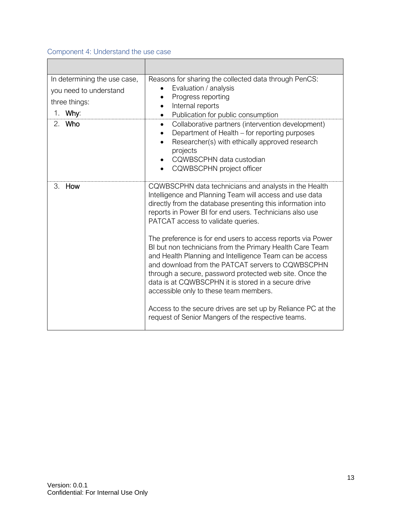## <span id="page-12-0"></span>Component 4: Understand the use case

| In determining the use case,<br>you need to understand<br>three things:<br>Why:<br>1. | Reasons for sharing the collected data through PenCS:<br>Evaluation / analysis<br>Progress reporting<br>Internal reports<br>$\bullet$<br>Publication for public consumption<br>$\bullet$                                                                                                                                                                                                                                                                                                                                                                                                                                                                                                |  |
|---------------------------------------------------------------------------------------|-----------------------------------------------------------------------------------------------------------------------------------------------------------------------------------------------------------------------------------------------------------------------------------------------------------------------------------------------------------------------------------------------------------------------------------------------------------------------------------------------------------------------------------------------------------------------------------------------------------------------------------------------------------------------------------------|--|
| Who<br>2.                                                                             | Collaborative partners (intervention development)<br>$\bullet$<br>Department of Health - for reporting purposes<br>Researcher(s) with ethically approved research<br>projects<br>CQWBSCPHN data custodian<br>CQWBSCPHN project officer                                                                                                                                                                                                                                                                                                                                                                                                                                                  |  |
| 3.<br>How                                                                             | CQWBSCPHN data technicians and analysts in the Health<br>Intelligence and Planning Team will access and use data<br>directly from the database presenting this information into<br>reports in Power BI for end users. Technicians also use<br>PATCAT access to validate queries.<br>The preference is for end users to access reports via Power<br>BI but non technicians from the Primary Health Care Team<br>and Health Planning and Intelligence Team can be access<br>and download from the PATCAT servers to CQWBSCPHN<br>through a secure, password protected web site. Once the<br>data is at CQWBSCPHN it is stored in a secure drive<br>accessible only to these team members. |  |
|                                                                                       |                                                                                                                                                                                                                                                                                                                                                                                                                                                                                                                                                                                                                                                                                         |  |
|                                                                                       | Access to the secure drives are set up by Reliance PC at the<br>request of Senior Mangers of the respective teams.                                                                                                                                                                                                                                                                                                                                                                                                                                                                                                                                                                      |  |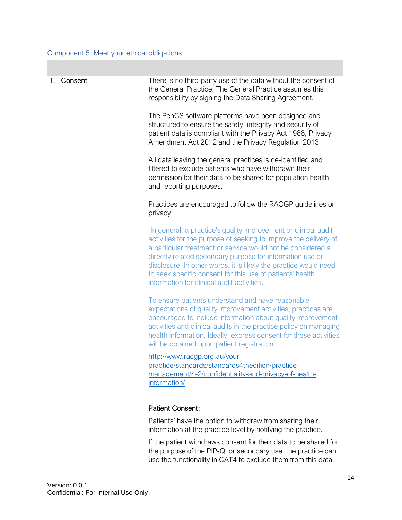## <span id="page-13-0"></span>Component 5: Meet your ethical obligations

| 1.<br>Consent | There is no third-party use of the data without the consent of<br>the General Practice. The General Practice assumes this<br>responsibility by signing the Data Sharing Agreement.                                                                                                                                                                                                                                                             |
|---------------|------------------------------------------------------------------------------------------------------------------------------------------------------------------------------------------------------------------------------------------------------------------------------------------------------------------------------------------------------------------------------------------------------------------------------------------------|
|               | The PenCS software platforms have been designed and<br>structured to ensure the safety, integrity and security of<br>patient data is compliant with the Privacy Act 1988, Privacy<br>Amendment Act 2012 and the Privacy Regulation 2013.                                                                                                                                                                                                       |
|               | All data leaving the general practices is de-identified and<br>filtered to exclude patients who have withdrawn their<br>permission for their data to be shared for population health<br>and reporting purposes.                                                                                                                                                                                                                                |
|               | Practices are encouraged to follow the RACGP guidelines on<br>privacy:                                                                                                                                                                                                                                                                                                                                                                         |
|               | "In general, a practice's quality improvement or clinical audit<br>activities for the purpose of seeking to improve the delivery of<br>a particular treatment or service would not be considered a<br>directly related secondary purpose for information use or<br>disclosure. In other words, it is likely the practice would need<br>to seek specific consent for this use of patients' health<br>information for clinical audit activities. |
|               | To ensure patients understand and have reasonable<br>expectations of quality improvement activities, practices are<br>encouraged to include information about quality improvement<br>activities and clinical audits in the practice policy on managing<br>health information. Ideally, express consent for these activities<br>will be obtained upon patient registration."                                                                    |
|               | http://www.racgp.org.au/your-<br>practice/standards/standards4thedition/practice-<br>management/4-2/confidentiality-and-privacy-of-health-<br>information/                                                                                                                                                                                                                                                                                     |
|               | <b>Patient Consent:</b>                                                                                                                                                                                                                                                                                                                                                                                                                        |
|               | Patients' have the option to withdraw from sharing their<br>information at the practice level by notifying the practice.                                                                                                                                                                                                                                                                                                                       |
|               | If the patient withdraws consent for their data to be shared for<br>the purpose of the PIP-QI or secondary use, the practice can<br>use the functionality in CAT4 to exclude them from this data                                                                                                                                                                                                                                               |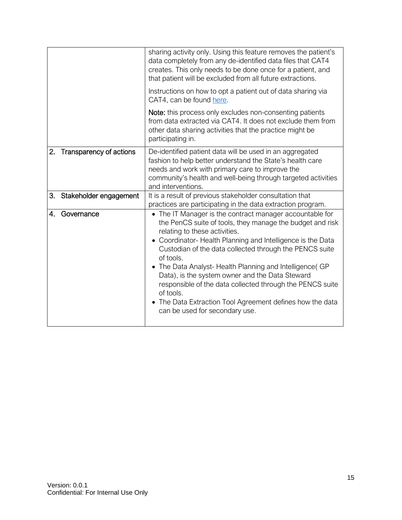|    |                         | sharing activity only. Using this feature removes the patient's<br>data completely from any de-identified data files that CAT4<br>creates. This only needs to be done once for a patient, and<br>that patient will be excluded from all future extractions.<br>Instructions on how to opt a patient out of data sharing via<br>CAT4, can be found here.                                                                                                                                                                                                                             |
|----|-------------------------|-------------------------------------------------------------------------------------------------------------------------------------------------------------------------------------------------------------------------------------------------------------------------------------------------------------------------------------------------------------------------------------------------------------------------------------------------------------------------------------------------------------------------------------------------------------------------------------|
|    |                         | Note: this process only excludes non-consenting patients<br>from data extracted via CAT4. It does not exclude them from<br>other data sharing activities that the practice might be<br>participating in.                                                                                                                                                                                                                                                                                                                                                                            |
| 2. | Transparency of actions | De-identified patient data will be used in an aggregated<br>fashion to help better understand the State's health care<br>needs and work with primary care to improve the<br>community's health and well-being through targeted activities<br>and interventions.                                                                                                                                                                                                                                                                                                                     |
| 3. | Stakeholder engagement  | It is a result of previous stakeholder consultation that<br>practices are participating in the data extraction program.                                                                                                                                                                                                                                                                                                                                                                                                                                                             |
| 4. | Governance              | • The IT Manager is the contract manager accountable for<br>the PenCS suite of tools, they manage the budget and risk<br>relating to these activities.<br>• Coordinator-Health Planning and Intelligence is the Data<br>Custodian of the data collected through the PENCS suite<br>of tools.<br>• The Data Analyst- Health Planning and Intelligence(GP<br>Data), is the system owner and the Data Steward<br>responsible of the data collected through the PENCS suite<br>of tools.<br>• The Data Extraction Tool Agreement defines how the data<br>can be used for secondary use. |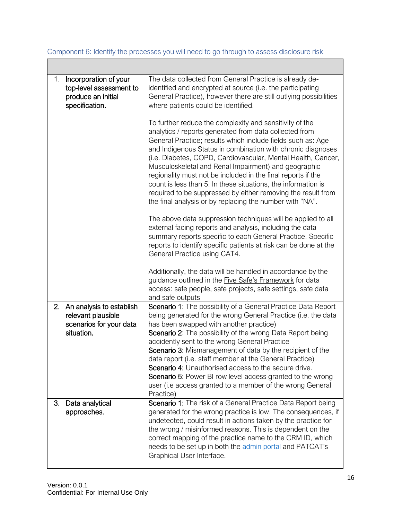| Incorporation of your<br>1.<br>top-level assessment to<br>produce an initial<br>specification. | The data collected from General Practice is already de-<br>identified and encrypted at source (i.e. the participating<br>General Practice), however there are still outlying possibilities<br>where patients could be identified.                                                                                                                                                                                                                                                                                                                                                                                                    |
|------------------------------------------------------------------------------------------------|--------------------------------------------------------------------------------------------------------------------------------------------------------------------------------------------------------------------------------------------------------------------------------------------------------------------------------------------------------------------------------------------------------------------------------------------------------------------------------------------------------------------------------------------------------------------------------------------------------------------------------------|
|                                                                                                | To further reduce the complexity and sensitivity of the<br>analytics / reports generated from data collected from<br>General Practice; results which include fields such as: Age<br>and Indigenous Status in combination with chronic diagnoses<br>(i.e. Diabetes, COPD, Cardiovascular, Mental Health, Cancer,<br>Musculoskeletal and Renal Impairment) and geographic<br>regionality must not be included in the final reports if the<br>count is less than 5. In these situations, the information is<br>required to be suppressed by either removing the result from<br>the final analysis or by replacing the number with "NA". |
|                                                                                                | The above data suppression techniques will be applied to all<br>external facing reports and analysis, including the data<br>summary reports specific to each General Practice. Specific<br>reports to identify specific patients at risk can be done at the<br>General Practice using CAT4.                                                                                                                                                                                                                                                                                                                                          |
|                                                                                                | Additionally, the data will be handled in accordance by the<br>guidance outlined in the Five Safe's Framework for data<br>access: safe people, safe projects, safe settings, safe data<br>and safe outputs                                                                                                                                                                                                                                                                                                                                                                                                                           |
| 2.<br>An analysis to establish<br>relevant plausible<br>scenarios for your data<br>situation.  | Scenario 1: The possibility of a General Practice Data Report<br>being generated for the wrong General Practice (i.e. the data<br>has been swapped with another practice)<br>Scenario 2: The possibility of the wrong Data Report being<br>accidently sent to the wrong General Practice<br>Scenario 3: Mismanagement of data by the recipient of the<br>data report (i.e. staff member at the General Practice)<br><b>Scenario 4:</b> Unauthorised access to the secure drive.<br>Scenario 5: Power BI row level access granted to the wrong<br>user (i.e access granted to a member of the wrong General<br>Practice)              |
| 3.<br>Data analytical<br>approaches.                                                           | Scenario 1: The risk of a General Practice Data Report being<br>generated for the wrong practice is low. The consequences, if<br>undetected, could result in actions taken by the practice for<br>the wrong / misinformed reasons. This is dependent on the<br>correct mapping of the practice name to the CRM ID, which<br>needs to be set up in both the admin portal and PATCAT's<br>Graphical User Interface.                                                                                                                                                                                                                    |

<span id="page-15-0"></span>Component 6: Identify the processes you will need to go through to assess disclosure risk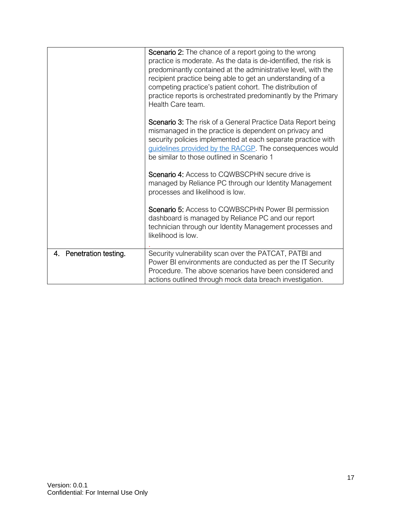|                            | Scenario 2: The chance of a report going to the wrong<br>practice is moderate. As the data is de-identified, the risk is<br>predominantly contained at the administrative level, with the<br>recipient practice being able to get an understanding of a<br>competing practice's patient cohort. The distribution of<br>practice reports is orchestrated predominantly by the Primary<br>Health Care team. |
|----------------------------|-----------------------------------------------------------------------------------------------------------------------------------------------------------------------------------------------------------------------------------------------------------------------------------------------------------------------------------------------------------------------------------------------------------|
|                            | Scenario 3: The risk of a General Practice Data Report being<br>mismanaged in the practice is dependent on privacy and<br>security policies implemented at each separate practice with<br>guidelines provided by the RACGP. The consequences would<br>be similar to those outlined in Scenario 1                                                                                                          |
|                            | <b>Scenario 4: Access to CQWBSCPHN secure drive is</b><br>managed by Reliance PC through our Identity Management<br>processes and likelihood is low.                                                                                                                                                                                                                                                      |
|                            | Scenario 5: Access to CQWBSCPHN Power BI permission<br>dashboard is managed by Reliance PC and our report<br>technician through our Identity Management processes and<br>likelihood is low.                                                                                                                                                                                                               |
| Penetration testing.<br>4. | Security vulnerability scan over the PATCAT, PATBI and<br>Power BI environments are conducted as per the IT Security<br>Procedure. The above scenarios have been considered and<br>actions outlined through mock data breach investigation.                                                                                                                                                               |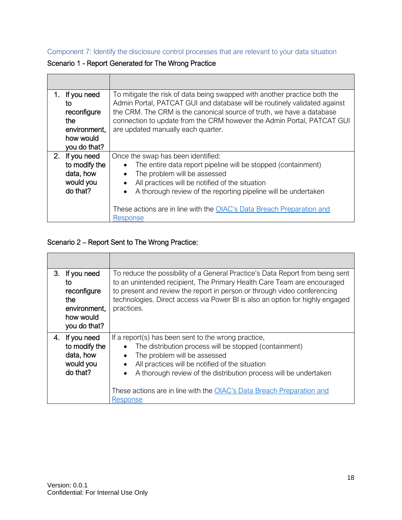<span id="page-17-0"></span>Component 7: Identify the disclosure control processes that are relevant to your data situation

Scenario 1 - Report Generated for The Wrong Practice

| 1. | If you need<br>to<br>reconfigure<br>the<br>environment,<br>how would<br>you do that? | To mitigate the risk of data being swapped with another practice both the<br>Admin Portal, PATCAT GUI and database will be routinely validated against<br>the CRM. The CRM is the canonical source of truth, we have a database<br>connection to update from the CRM however the Admin Portal, PATCAT GUI<br>are updated manually each quarter.                         |
|----|--------------------------------------------------------------------------------------|-------------------------------------------------------------------------------------------------------------------------------------------------------------------------------------------------------------------------------------------------------------------------------------------------------------------------------------------------------------------------|
|    | 2. If you need<br>to modify the<br>data, how<br>would you<br>do that?                | Once the swap has been identified:<br>The entire data report pipeline will be stopped (containment)<br>The problem will be assessed<br>$\bullet$<br>All practices will be notified of the situation<br>$\bullet$<br>A thorough review of the reporting pipeline will be undertaken<br>These actions are in line with the OIAC's Data Breach Preparation and<br>Response |

## Scenario 2 – Report Sent to The Wrong Practice:

| 3. | If you need<br>to<br>reconfigure<br>the<br>environment,<br>how would<br>you do that? | To reduce the possibility of a General Practice's Data Report from being sent<br>to an unintended recipient, The Primary Health Care Team are encouraged<br>to present and review the report in person or through video conferencing<br>technologies. Direct access via Power BI is also an option for highly engaged<br>practices.                                                 |
|----|--------------------------------------------------------------------------------------|-------------------------------------------------------------------------------------------------------------------------------------------------------------------------------------------------------------------------------------------------------------------------------------------------------------------------------------------------------------------------------------|
|    | 4. If you need<br>to modify the<br>data, how<br>would you<br>do that?                | If a report(s) has been sent to the wrong practice,<br>The distribution process will be stopped (containment)<br>The problem will be assessed<br>$\bullet$<br>All practices will be notified of the situation<br>$\bullet$<br>A thorough review of the distribution process will be undertaken<br>These actions are in line with the OIAC's Data Breach Preparation and<br>Response |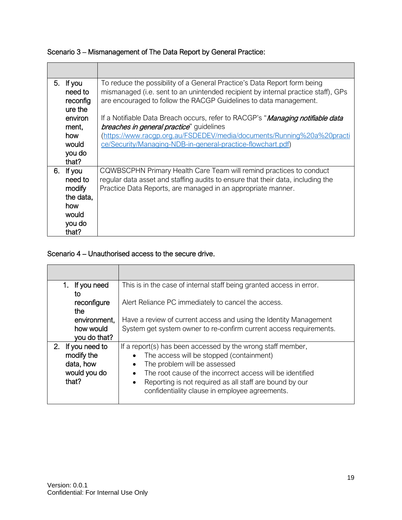|  | Scenario 3 – Mismanagement of The Data Report by General Practice: |
|--|--------------------------------------------------------------------|
|--|--------------------------------------------------------------------|

| 5. If you<br>need to | To reduce the possibility of a General Practice's Data Report form being<br>mismanaged (i.e. sent to an unintended recipient by internal practice staff), GPs |
|----------------------|---------------------------------------------------------------------------------------------------------------------------------------------------------------|
| reconfig             | are encouraged to follow the RACGP Guidelines to data management.                                                                                             |
| ure the              |                                                                                                                                                               |
| environ              | If a Notifiable Data Breach occurs, refer to RACGP's " <i>Managing notifiable data</i>                                                                        |
| ment,                | <i>breaches in general practice</i> " guidelines                                                                                                              |
| how                  | (https://www.racqp.org.au/FSDEDEV/media/documents/Running%20a%20practi                                                                                        |
| would                | ce/Security/Managing-NDB-in-general-practice-flowchart.pdf)                                                                                                   |
| you do               |                                                                                                                                                               |
| that?                |                                                                                                                                                               |
| 6. If you            | CQWBSCPHN Primary Health Care Team will remind practices to conduct                                                                                           |
| need to              | regular data asset and staffing audits to ensure that their data, including the                                                                               |
| modify               | Practice Data Reports, are managed in an appropriate manner.                                                                                                  |
| the data,            |                                                                                                                                                               |
| how                  |                                                                                                                                                               |
| would                |                                                                                                                                                               |
| you do               |                                                                                                                                                               |
| that?                |                                                                                                                                                               |

## Scenario 4 – Unauthorised access to the secure drive.

| 1. If you need           | This is in the case of internal staff being granted access in error.   |
|--------------------------|------------------------------------------------------------------------|
| to<br>reconfigure<br>the | Alert Reliance PC immediately to cancel the access.                    |
| environment,             | Have a review of current access and using the Identity Management      |
| how would                | System get system owner to re-confirm current access requirements.     |
| you do that?             |                                                                        |
| If you need to<br>2.     | If a report(s) has been accessed by the wrong staff member,            |
| modify the               | The access will be stopped (containment)                               |
| data, how                | The problem will be assessed<br>$\bullet$                              |
| would you do             | The root cause of the incorrect access will be identified<br>$\bullet$ |
| that?                    | Reporting is not required as all staff are bound by our                |
|                          | confidentiality clause in employee agreements.                         |
|                          |                                                                        |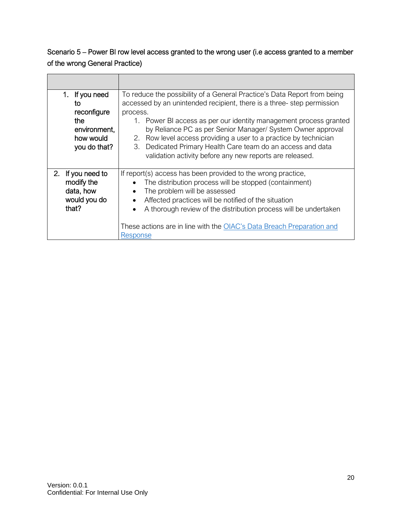# Scenario 5 – Power BI row level access granted to the wrong user (i.e access granted to a member of the wrong General Practice)

| 1. If you need<br>to<br>reconfigure<br>the<br>environment,<br>how would<br>you do that? | To reduce the possibility of a General Practice's Data Report from being<br>accessed by an unintended recipient, there is a three-step permission<br>process.<br>1. Power BI access as per our identity management process granted<br>by Reliance PC as per Senior Manager/ System Owner approval<br>2. Row level access providing a user to a practice by technician<br>3. Dedicated Primary Health Care team do an access and data<br>validation activity before any new reports are released. |
|-----------------------------------------------------------------------------------------|--------------------------------------------------------------------------------------------------------------------------------------------------------------------------------------------------------------------------------------------------------------------------------------------------------------------------------------------------------------------------------------------------------------------------------------------------------------------------------------------------|
| 2. If you need to<br>modify the<br>data, how<br>would you do<br>that?                   | If report(s) access has been provided to the wrong practice,<br>The distribution process will be stopped (containment)<br>The problem will be assessed<br>Affected practices will be notified of the situation<br>A thorough review of the distribution process will be undertaken<br>These actions are in line with the OIAC's Data Breach Preparation and<br><b>Response</b>                                                                                                                   |

**The Common** 

┯

 $\overline{\phantom{a}}$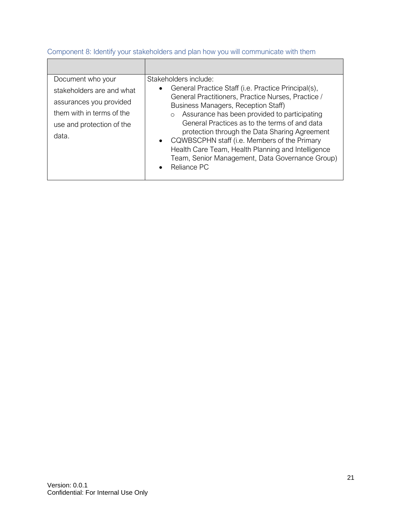| Document who your<br>stakeholders are and what<br>assurances you provided<br>them with in terms of the<br>use and protection of the<br>data. | Stakeholders include:<br>General Practice Staff (i.e. Practice Principal(s),<br>$\bullet$<br>General Practitioners, Practice Nurses, Practice /<br>Business Managers, Reception Staff)<br>Assurance has been provided to participating<br>$\circ$<br>General Practices as to the terms of and data<br>protection through the Data Sharing Agreement<br>• CQWBSCPHN staff (i.e. Members of the Primary<br>Health Care Team, Health Planning and Intelligence<br>Team, Senior Management, Data Governance Group)<br>Reliance PC<br>$\bullet$ |
|----------------------------------------------------------------------------------------------------------------------------------------------|--------------------------------------------------------------------------------------------------------------------------------------------------------------------------------------------------------------------------------------------------------------------------------------------------------------------------------------------------------------------------------------------------------------------------------------------------------------------------------------------------------------------------------------------|

## <span id="page-20-0"></span>Component 8: Identify your stakeholders and plan how you will communicate with them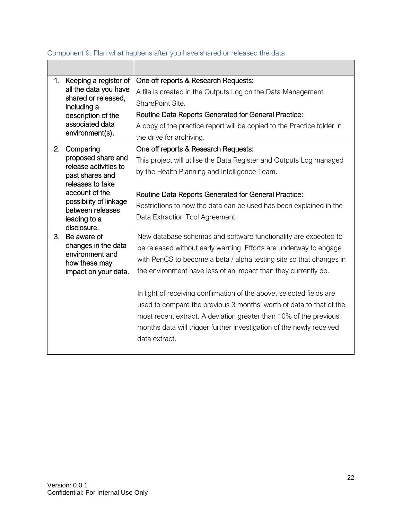|    | 1. Keeping a register of<br>all the data you have<br>shared or released,<br>including a<br>description of the<br>associated data<br>environment(s). | One off reports & Research Requests:                                   |
|----|-----------------------------------------------------------------------------------------------------------------------------------------------------|------------------------------------------------------------------------|
|    |                                                                                                                                                     | A file is created in the Outputs Log on the Data Management            |
|    |                                                                                                                                                     | SharePoint Site.                                                       |
|    |                                                                                                                                                     | Routine Data Reports Generated for General Practice:                   |
|    |                                                                                                                                                     | A copy of the practice report will be copied to the Practice folder in |
|    |                                                                                                                                                     | the drive for archiving.                                               |
|    | 2. Comparing                                                                                                                                        | One off reports & Research Requests:                                   |
|    | proposed share and<br>release activities to                                                                                                         | This project will utilise the Data Register and Outputs Log managed    |
|    | past shares and                                                                                                                                     | by the Health Planning and Intelligence Team.                          |
|    | releases to take                                                                                                                                    |                                                                        |
|    | account of the<br>possibility of linkage<br>between releases<br>leading to a<br>disclosure.                                                         | Routine Data Reports Generated for General Practice:                   |
|    |                                                                                                                                                     | Restrictions to how the data can be used has been explained in the     |
|    |                                                                                                                                                     | Data Extraction Tool Agreement.                                        |
|    |                                                                                                                                                     |                                                                        |
| 3. | Be aware of<br>changes in the data<br>environment and<br>how these may                                                                              | New database schemas and software functionality are expected to        |
|    |                                                                                                                                                     | be released without early warning. Efforts are underway to engage      |
|    |                                                                                                                                                     | with PenCS to become a beta / alpha testing site so that changes in    |
|    | impact on your data.                                                                                                                                | the environment have less of an impact than they currently do.         |
|    |                                                                                                                                                     |                                                                        |
|    |                                                                                                                                                     | In light of receiving confirmation of the above, selected fields are   |
|    |                                                                                                                                                     | used to compare the previous 3 months' worth of data to that of the    |
|    |                                                                                                                                                     | most recent extract. A deviation greater than 10% of the previous      |
|    |                                                                                                                                                     | months data will trigger further investigation of the newly received   |
|    |                                                                                                                                                     | data extract.                                                          |
|    |                                                                                                                                                     |                                                                        |

#### <span id="page-21-0"></span>Component 9: Plan what happens after you have shared or released the data  $\Box$  $\overline{\phantom{a}}$

٦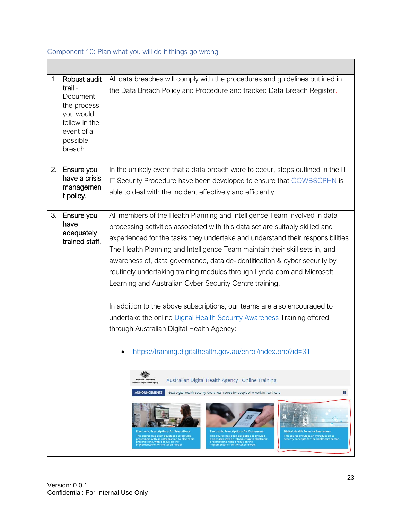#### <span id="page-22-0"></span>Component 10: Plan what you will do if things go wrong <u> Espainia e de la construcción de la construcción de la construcción de la construcción de la construcción de la construcción de la construcción de la construcción de la construcción de la construcción de la construcción </u>  $\top$

| 1. | Robust audit<br>trail-<br>Document<br>the process<br>you would<br>follow in the<br>event of a<br>possible<br>breach. | All data breaches will comply with the procedures and guidelines outlined in<br>the Data Breach Policy and Procedure and tracked Data Breach Register.                                                                                                                                                                                                                                                                                                                                                                                                                                                                                                                                                                                                                                                           |
|----|----------------------------------------------------------------------------------------------------------------------|------------------------------------------------------------------------------------------------------------------------------------------------------------------------------------------------------------------------------------------------------------------------------------------------------------------------------------------------------------------------------------------------------------------------------------------------------------------------------------------------------------------------------------------------------------------------------------------------------------------------------------------------------------------------------------------------------------------------------------------------------------------------------------------------------------------|
|    | 2. Ensure you<br>have a crisis<br>managemen<br>t policy.                                                             | In the unlikely event that a data breach were to occur, steps outlined in the IT<br>IT Security Procedure have been developed to ensure that CQWBSCPHN is<br>able to deal with the incident effectively and efficiently.                                                                                                                                                                                                                                                                                                                                                                                                                                                                                                                                                                                         |
| 3. | Ensure you<br>have<br>adequately<br>trained staff.                                                                   | All members of the Health Planning and Intelligence Team involved in data<br>processing activities associated with this data set are suitably skilled and<br>experienced for the tasks they undertake and understand their responsibilities.<br>The Health Planning and Intelligence Team maintain their skill sets in, and<br>awareness of, data governance, data de-identification & cyber security by<br>routinely undertaking training modules through Lynda.com and Microsoft<br>Learning and Australian Cyber Security Centre training.<br>In addition to the above subscriptions, our teams are also encouraged to<br>undertake the online Digital Health Security Awareness Training offered<br>through Australian Digital Health Agency:<br>https://training.digitalhealth.gov.au/enrol/index.php?id=31 |
|    |                                                                                                                      | Australian Digital Health Agency - Online Training<br>ralian Digital Health Agency<br><b>ANNOUNCEMENTS</b><br>ш<br>New: Digital Health Security Awareness' course for people who work in healthcare<br><b>Digital Health Security Awareness</b><br><b>Electronic Prescriptions for Prescribers</b><br><b>Electronic Prescriptions for Dispensers</b><br>This course provides an introduction to<br>This course has been developed to provide<br>This course has been developed to provide<br>security concepts for the healthcare sector.<br>prescribers with an introduction to electronic<br>dispensers with an introduction to electronic<br>prescriptions, with a focus on the<br>prescriptions, with a focus on the<br>implementation of the token model.<br>implementation of the token model.             |

 $\overline{\phantom{0}}$